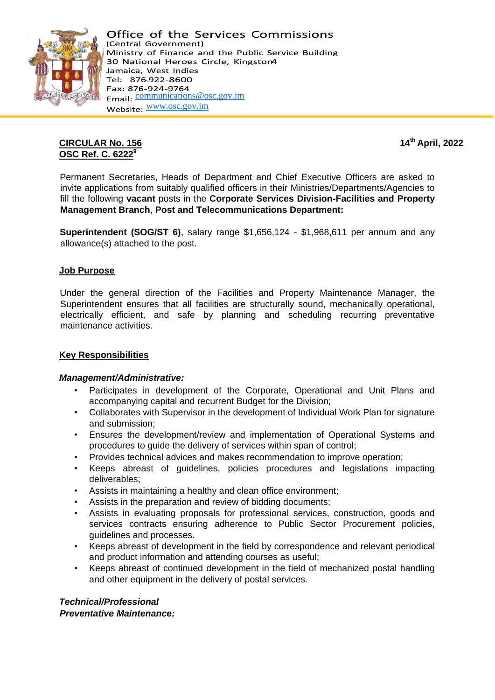

# **CIRCULAR No. 156 14th April, 2022 OSC Ref. C. 6222<sup>9</sup>**

Permanent Secretaries, Heads of Department and Chief Executive Officers are asked to invite applications from suitably qualified officers in their Ministries/Departments/Agencies to fill the following **vacant** posts in the **Corporate Services Division-Facilities and Property Management Branch**, **Post and Telecommunications Department:**

**Superintendent (SOG/ST 6)**, salary range \$1,656,124 - \$1,968,611 per annum and any allowance(s) attached to the post.

### **Job Purpose**

Under the general direction of the Facilities and Property Maintenance Manager, the Superintendent ensures that all facilities are structurally sound, mechanically operational, electrically efficient, and safe by planning and scheduling recurring preventative maintenance activities.

### **Key Responsibilities**

### *Management/Administrative:*

- Participates in development of the Corporate, Operational and Unit Plans and accompanying capital and recurrent Budget for the Division;
- Collaborates with Supervisor in the development of Individual Work Plan for signature and submission;
- Ensures the development/review and implementation of Operational Systems and procedures to guide the delivery of services within span of control;
- Provides technical advices and makes recommendation to improve operation;
- Keeps abreast of guidelines, policies procedures and legislations impacting deliverables;
- Assists in maintaining a healthy and clean office environment;
- Assists in the preparation and review of bidding documents;
- Assists in evaluating proposals for professional services, construction, goods and services contracts ensuring adherence to Public Sector Procurement policies, guidelines and processes.
- Keeps abreast of development in the field by correspondence and relevant periodical and product information and attending courses as useful;
- Keeps abreast of continued development in the field of mechanized postal handling and other equipment in the delivery of postal services.

*Technical/Professional Preventative Maintenance:*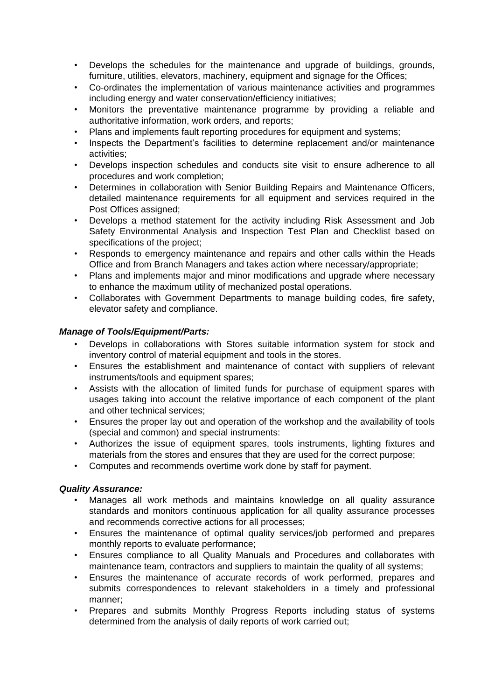- Develops the schedules for the maintenance and upgrade of buildings, grounds, furniture, utilities, elevators, machinery, equipment and signage for the Offices;
- Co-ordinates the implementation of various maintenance activities and programmes including energy and water conservation/efficiency initiatives;
- Monitors the preventative maintenance programme by providing a reliable and authoritative information, work orders, and reports;
- Plans and implements fault reporting procedures for equipment and systems;
- Inspects the Department's facilities to determine replacement and/or maintenance activities;
- Develops inspection schedules and conducts site visit to ensure adherence to all procedures and work completion;
- Determines in collaboration with Senior Building Repairs and Maintenance Officers, detailed maintenance requirements for all equipment and services required in the Post Offices assigned;
- Develops a method statement for the activity including Risk Assessment and Job Safety Environmental Analysis and Inspection Test Plan and Checklist based on specifications of the project;
- Responds to emergency maintenance and repairs and other calls within the Heads Office and from Branch Managers and takes action where necessary/appropriate;
- Plans and implements major and minor modifications and upgrade where necessary to enhance the maximum utility of mechanized postal operations.
- Collaborates with Government Departments to manage building codes, fire safety, elevator safety and compliance.

### *Manage of Tools/Equipment/Parts:*

- Develops in collaborations with Stores suitable information system for stock and inventory control of material equipment and tools in the stores.
- Ensures the establishment and maintenance of contact with suppliers of relevant instruments/tools and equipment spares;
- Assists with the allocation of limited funds for purchase of equipment spares with usages taking into account the relative importance of each component of the plant and other technical services;
- Ensures the proper lay out and operation of the workshop and the availability of tools (special and common) and special instruments:
- Authorizes the issue of equipment spares, tools instruments, lighting fixtures and materials from the stores and ensures that they are used for the correct purpose;
- Computes and recommends overtime work done by staff for payment.

### *Quality Assurance:*

- Manages all work methods and maintains knowledge on all quality assurance standards and monitors continuous application for all quality assurance processes and recommends corrective actions for all processes;
- Ensures the maintenance of optimal quality services/job performed and prepares monthly reports to evaluate performance;
- Ensures compliance to all Quality Manuals and Procedures and collaborates with maintenance team, contractors and suppliers to maintain the quality of all systems;
- Ensures the maintenance of accurate records of work performed, prepares and submits correspondences to relevant stakeholders in a timely and professional manner;
- Prepares and submits Monthly Progress Reports including status of systems determined from the analysis of daily reports of work carried out;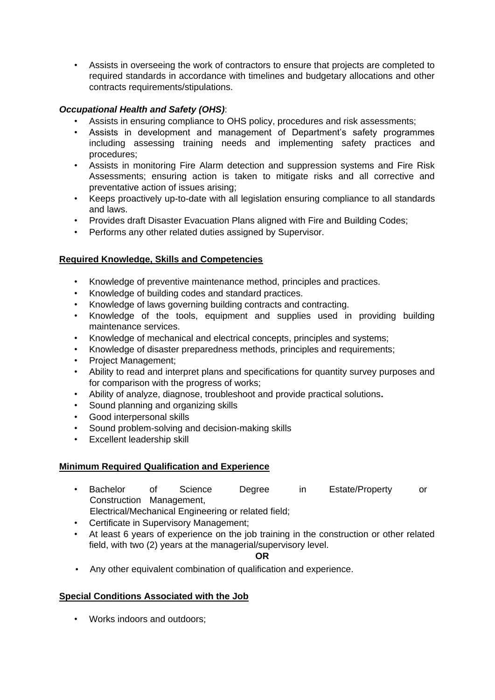• Assists in overseeing the work of contractors to ensure that projects are completed to required standards in accordance with timelines and budgetary allocations and other contracts requirements/stipulations.

# *Occupational Health and Safety (OHS)*:

- Assists in ensuring compliance to OHS policy, procedures and risk assessments;
- Assists in development and management of Department's safety programmes including assessing training needs and implementing safety practices and procedures;
- Assists in monitoring Fire Alarm detection and suppression systems and Fire Risk Assessments; ensuring action is taken to mitigate risks and all corrective and preventative action of issues arising;
- Keeps proactively up-to-date with all legislation ensuring compliance to all standards and laws.
- Provides draft Disaster Evacuation Plans aligned with Fire and Building Codes;
- Performs any other related duties assigned by Supervisor.

# **Required Knowledge, Skills and Competencies**

- Knowledge of preventive maintenance method, principles and practices.
- Knowledge of building codes and standard practices.
- Knowledge of laws governing building contracts and contracting.
- Knowledge of the tools, equipment and supplies used in providing building maintenance services.
- Knowledge of mechanical and electrical concepts, principles and systems;
- Knowledge of disaster preparedness methods, principles and requirements;
- Project Management;
- Ability to read and interpret plans and specifications for quantity survey purposes and for comparison with the progress of works;
- Ability of analyze, diagnose, troubleshoot and provide practical solutions**.**
- Sound planning and organizing skills
- Good interpersonal skills
- Sound problem-solving and decision-making skills
- Excellent leadership skill

# **Minimum Required Qualification and Experience**

• Bachelor of Science Degree in Estate/Property or Construction Management,

Electrical/Mechanical Engineering or related field;

- Certificate in Supervisory Management;
- At least 6 years of experience on the job training in the construction or other related field, with two (2) years at the managerial/supervisory level.

### **OR**

• Any other equivalent combination of qualification and experience.

# **Special Conditions Associated with the Job**

• Works indoors and outdoors;